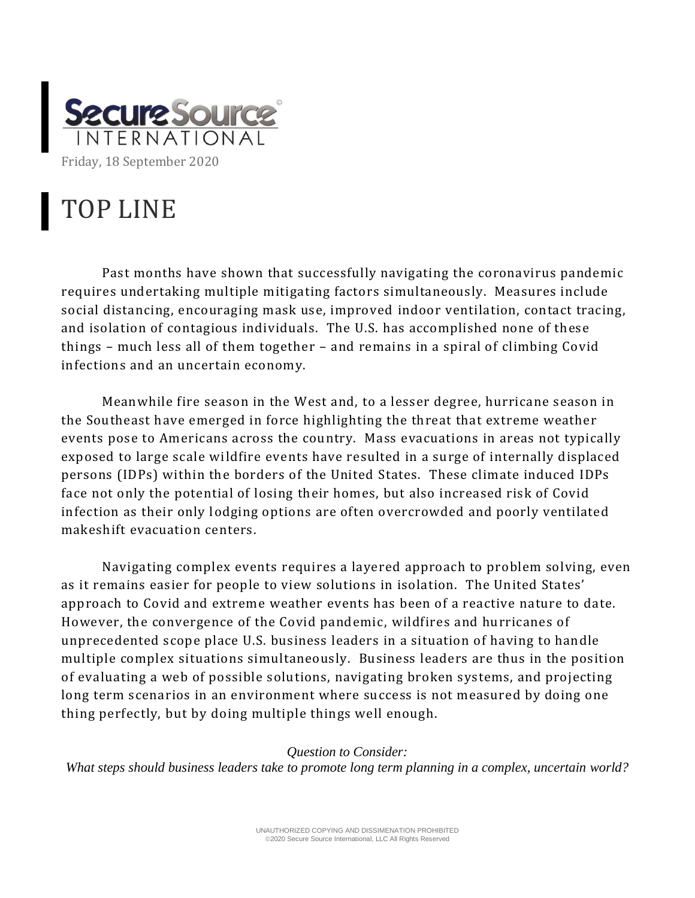

## TOP LINE

Past months have shown that successfully navigating the coronavirus pandemic requires undertaking multiple mitigating factors simultaneously. Measures include social distancing, encouraging mask use, improved indoor ventilation, contact tracing, and isolation of contagious individuals. The U.S. has accomplished none of these things – much less all of them together – and remains in a spiral of climbing Covid infections and an uncertain economy.

Meanwhile fire season in the West and, to a lesser degree, hurricane season in the Southeast have emerged in force highlighting the threat that extreme weather events pose to Americans across the country. Mass evacuations in areas not typically exposed to large scale wildfire events have resulted in a surge of internally displaced persons (IDPs) within the borders of the United States. These climate induced IDPs face not only the potential of losing their homes, but also increased risk of Covid infection as their only lodging options are often overcrowded and poorly ventilated makeshift evacuation centers.

Navigating complex events requires a layered approach to problem solving, even as it remains easier for people to view solutions in isolation. The United States' approach to Covid and extreme weather events has been of a reactive nature to date. However, the convergence of the Covid pandemic , wildfires and hurricanes of unprecedented scope place U.S. business leaders in a situation of having to handle multiple complex situations simultaneously. Business leaders are thus in the position of evaluating a web of possible solutions, navigating broken systems, and projecting long term scenarios in an environment where success is not measured by doing one thing perfectly, but by doing multiple things well enough.

*Question to Consider: What steps should business leaders take to promote long term planning in a complex, uncertain world?*